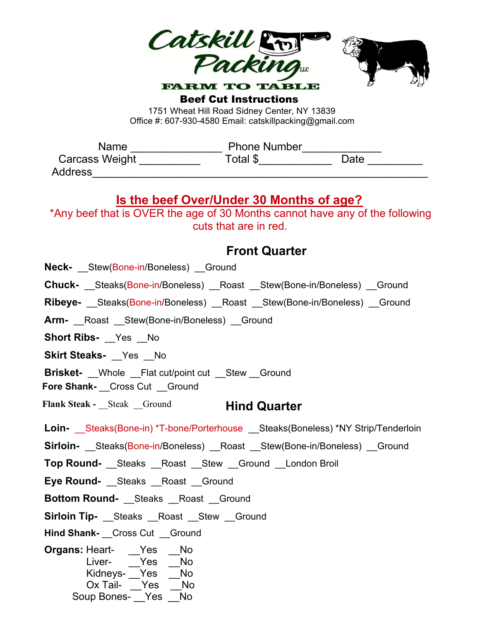

Beef Cut Instructions 1751 Wheat Hill Road Sidney Center, NY 13839

Office #: 607-930-4580 Email: catskillpacking@gmail.com

| Name           | <b>Phone Number</b> |      |
|----------------|---------------------|------|
| Carcass Weight | Total \$            | Date |
| <b>Address</b> |                     |      |

## **Is the beef Over/Under 30 Months of age?**

\*Any beef that is OVER the age of 30 Months cannot have any of the following cuts that are in red.

## **Front Quarter**

**Neck-** Stew(Bone-in/Boneless) Ground

**Chuck-** Steaks(Bone-in/Boneless) Roast Stew(Bone-in/Boneless) Ground

**Ribeye-** \_\_Steaks(Bone-in/Boneless) \_\_Roast \_\_Stew(Bone-in/Boneless) Ground

Arm- Roast Stew(Bone-in/Boneless) Ground

**Short Ribs-** \_\_Yes \_\_ No

**Skirt Steaks- Yes** No

**Brisket-** Whole Flat cut/point cut Stew Ground

**Fore Shank-** Cross Cut Ground

**Hind Quarter Flank Steak -** Steak Ground

Loin- Steaks(Bone-in) \*T-bone/Porterhouse Steaks(Boneless) \*NY Strip/Tenderloin

**Sirloin-** Steaks(Bone-in/Boneless) Roast Stew(Bone-in/Boneless) Ground

**Top Round-** Steaks Roast Stew Ground London Broil

**Eye Round-** \_\_Steaks \_\_Roast \_\_Ground

**Bottom Round-** \_\_Steaks \_\_Roast \_\_Ground

**Sirloin Tip-** \_\_Steaks \_\_Roast \_\_Stew \_\_Ground

**Hind Shank-** Cross Cut Ground

**Organs: Heart-** \_\_Yes No Liver- Yes No Kidneys- Yes \_No Ox Tail- <u>Yes</u> \_No Soup Bones- \_\_Yes \_\_No